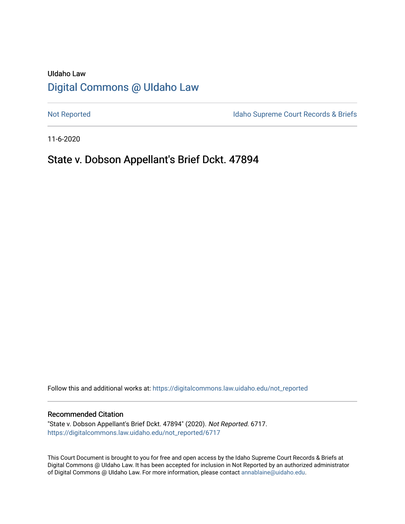# UIdaho Law [Digital Commons @ UIdaho Law](https://digitalcommons.law.uidaho.edu/)

[Not Reported](https://digitalcommons.law.uidaho.edu/not_reported) **Idaho Supreme Court Records & Briefs** 

11-6-2020

## State v. Dobson Appellant's Brief Dckt. 47894

Follow this and additional works at: [https://digitalcommons.law.uidaho.edu/not\\_reported](https://digitalcommons.law.uidaho.edu/not_reported?utm_source=digitalcommons.law.uidaho.edu%2Fnot_reported%2F6717&utm_medium=PDF&utm_campaign=PDFCoverPages) 

#### Recommended Citation

"State v. Dobson Appellant's Brief Dckt. 47894" (2020). Not Reported. 6717. [https://digitalcommons.law.uidaho.edu/not\\_reported/6717](https://digitalcommons.law.uidaho.edu/not_reported/6717?utm_source=digitalcommons.law.uidaho.edu%2Fnot_reported%2F6717&utm_medium=PDF&utm_campaign=PDFCoverPages)

This Court Document is brought to you for free and open access by the Idaho Supreme Court Records & Briefs at Digital Commons @ UIdaho Law. It has been accepted for inclusion in Not Reported by an authorized administrator of Digital Commons @ UIdaho Law. For more information, please contact [annablaine@uidaho.edu](mailto:annablaine@uidaho.edu).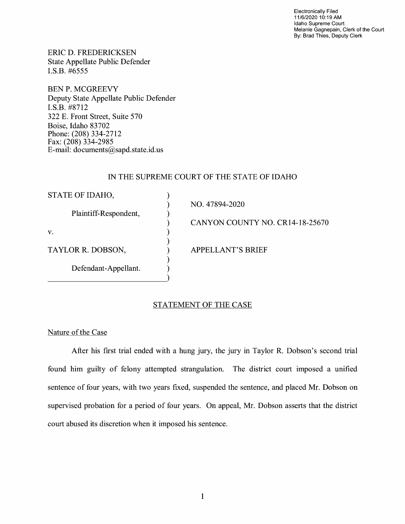Electronically Filed 11/6/2020 10:19 AM Idaho Supreme Court Melanie Gagnepain, Clerk of the Court By: Brad Thies, Deputy Clerk

ERIC D. FREDERICKSEN State Appellate Public Defender I.S.B. #6555

BEN P. MCGREEVY Deputy State Appellate Public Defender I.S.B. #8712 322 E. Front Street, Suite 570 Boise, Idaho 83702 Phone: (208) 334-2712 Fax: (208) 334-2985 E-mail: documents@sapd.state.id. us

## IN THE SUPREME COURT OF THE STATE OF IDAHO

| STATE OF IDAHO,       |                                 |
|-----------------------|---------------------------------|
| Plaintiff-Respondent, | NO. 47894-2020                  |
|                       | CANYON COUNTY NO. CR14-18-25670 |
| V.                    |                                 |
| TAYLOR R. DOBSON,     | <b>APPELLANT'S BRIEF</b>        |
| Defendant-Appellant.  |                                 |

## STATEMENT OF THE CASE

Nature of the Case

After his first trial ended with a hung jury, the jury in Taylor R. Dobson's second trial found him guilty of felony attempted strangulation. The district court imposed a unified sentence of four years, with two years fixed, suspended the sentence, and placed Mr. Dobson on supervised probation for a period of four years. On appeal, Mr. Dobson asserts that the district court abused its discretion when it imposed his sentence.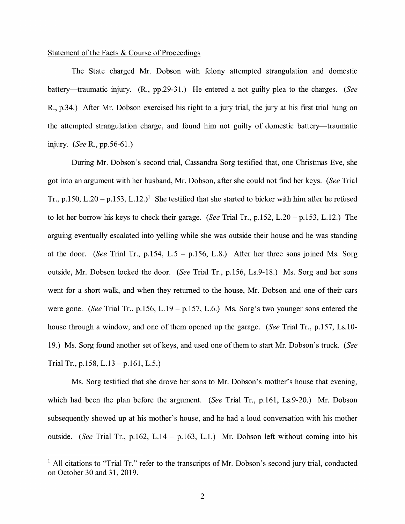### Statement of the Facts & Course of Proceedings

The State charged Mr. Dobson with felony attempted strangulation and domestic battery-traumatic injury. (R., pp.29-31.) He entered a not guilty plea to the charges. *(See*  R., p.34.) After Mr. Dobson exercised his right to a jury trial, the jury at his first trial hung on the attempted strangulation charge, and found him not guilty of domestic battery—traumatic injury. *(See* R., pp.56-61.)

During Mr. Dobson's second trial, Cassandra Sorg testified that, one Christmas Eve, she got into an argument with her husband, Mr. Dobson, after she could not find her keys. *(See* Trial Tr., p.150, L.20 – p.153, L.12.)<sup>1</sup> She testified that she started to bicker with him after he refused to let her borrow his keys to check their garage. *(See* Trial Tr., p.152, L.20- p.153, L.12.) The arguing eventually escalated into yelling while she was outside their house and he was standing at the door. *(See* Trial Tr., p.154, L.5 - p.156, L.8.) After her three sons joined Ms. Sorg outside, Mr. Dobson locked the door. *(See* Trial Tr., p.156, Ls.9-18.) Ms. Sorg and her sons went for a short walk, and when they returned to the house, Mr. Dobson and one of their cars were gone. *(See Trial Tr., p.156, L.19 – p.157, L.6.)* Ms. Sorg's two younger sons entered the house through a window, and one of them opened up the garage. *(See* Trial Tr., p.157, Ls.10- 19.) Ms. Sorg found another set of keys, and used one of them to start Mr. Dobson's truck. *(See*  Trial Tr., p.158, L.13 – p.161, L.5.)

Ms. Sorg testified that she drove her sons to Mr. Dobson's mother's house that evening, which had been the plan before the argument. *(See* Trial Tr., p.161, Ls.9-20.) Mr. Dobson subsequently showed up at his mother's house, and he had a loud conversation with his mother outside. *(See* Trial Tr., p.162, L.14 - p.163, L.1.) Mr. Dobson left without coming into his

 $<sup>1</sup>$  All citations to "Trial Tr." refer to the transcripts of Mr. Dobson's second jury trial, conducted</sup> on October 30 and 31, 2019.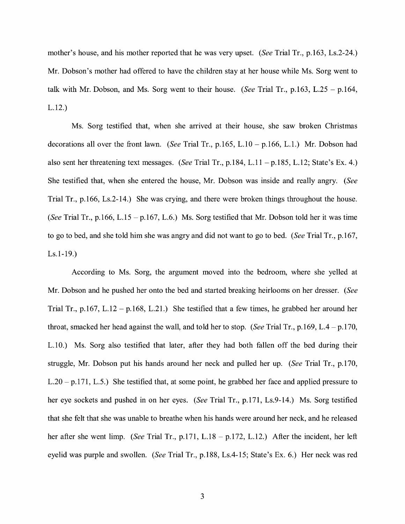mother's house, and his mother reported that he was very upset. *(See* Trial Tr., p.163, Ls.2-24.) Mr. Dobson's mother had offered to have the children stay at her house while Ms. Sorg went to talk with Mr. Dobson, and Ms. Sorg went to their house. *(See* Trial Tr., p.163, L.25 - p.164, L.12.)

Ms. Sorg testified that, when she arrived at their house, she saw broken Christmas decorations all over the front lawn. *(See* Trial Tr., p.165, L.10 - p.166, L.1.) Mr. Dobson had also sent her threatening text messages. *(See* Trial Tr., p.184, L.11 -p.185, L.12; State's Ex. 4.) She testified that, when she entered the house, Mr. Dobson was inside and really angry. *(See*  Trial Tr., p.166, Ls.2-14.) She was crying, and there were broken things throughout the house. *(See Trial Tr., p.166, L.15 – p.167, L.6.)* Ms. Sorg testified that Mr. Dobson told her it was time to go to bed, and she told him she was angry and did not want to go to bed. *(See* Trial Tr., p.167, Ls.1-19.)

According to Ms. Sorg, the argument moved into the bedroom, where she yelled at Mr. Dobson and he pushed her onto the bed and started breaking heirlooms on her dresser. *(See*  Trial Tr., p.167, L.12 – p.168, L.21.) She testified that a few times, he grabbed her around her throat, smacked her head against the wall, and told her to stop. *(See* Trial Tr., p.169, L.4 - p.170, L.10.) Ms. Sorg also testified that later, after they had both fallen off the bed during their struggle, Mr. Dobson put his hands around her neck and pulled her up. *(See* Trial Tr., p.170, L.20 - p.171, L.5.) She testified that, at some point, he grabbed her face and applied pressure to her eye sockets and pushed in on her eyes. *(See* Trial Tr., p.171, Ls.9-14.) Ms. Sorg testified that she felt that she was unable to breathe when his hands were around her neck, and he released her after she went limp. *(See Trial Tr., p.171, L.18 – p.172, L.12.)* After the incident, her left eyelid was purple and swollen. *(See* Trial Tr., p.188, Ls.4-15; State's Ex. 6.) Her neck was red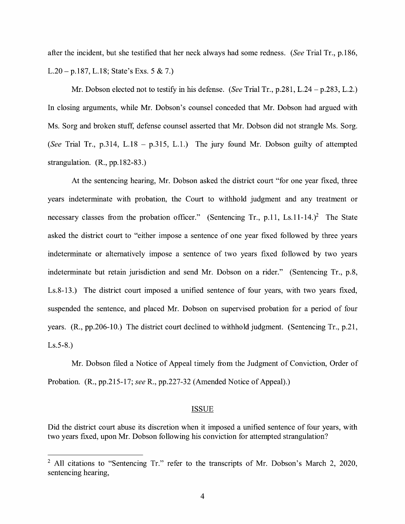after the incident, but she testified that her neck always had some redness. *(See* Trial Tr., p.186, L.20- p.187, L.18; State's Exs. 5 & 7.)

Mr. Dobson elected not to testify in his defense. *(See* Trial Tr., p.281, L.24 - p.283, L.2.) In closing arguments, while Mr. Dobson's counsel conceded that Mr. Dobson had argued with Ms. Sorg and broken stuff, defense counsel asserted that Mr. Dobson did not strangle Ms. Sorg. *(See* Trial Tr., p.314, L.18 - p.315, L.1.) The jury found Mr. Dobson guilty of attempted strangulation. (R., pp.182-83.)

At the sentencing hearing, Mr. Dobson asked the district court "for one year fixed, three years indeterminate with probation, the Court to withhold judgment and any treatment or necessary classes from the probation officer." (Sentencing Tr., p.11, Ls.11-14.)<sup>2</sup> The State asked the district court to "either impose a sentence of one year fixed followed by three years indeterminate or alternatively impose a sentence of two years fixed followed by two years indeterminate but retain jurisdiction and send Mr. Dobson on a rider." (Sentencing Tr., p.8, Ls.8-13.) The district court imposed a unified sentence of four years, with two years fixed, suspended the sentence, and placed Mr. Dobson on supervised probation for a period of four years. (R., pp.206-10.) The district court declined to withhold judgment. (Sentencing Tr., p.21, Ls.5-8.)

Mr. Dobson filed a Notice of Appeal timely from the Judgment of Conviction, Order of Probation. (R., pp.215-17; *see* R., pp.227-32 (Amended Notice of Appeal).)

#### ISSUE

Did the district court abuse its discretion when it imposed a unified sentence of four years, with two years fixed, upon Mr. Dobson following his conviction for attempted strangulation?

<sup>&</sup>lt;sup>2</sup> All citations to "Sentencing Tr." refer to the transcripts of Mr. Dobson's March 2, 2020, sentencing hearing,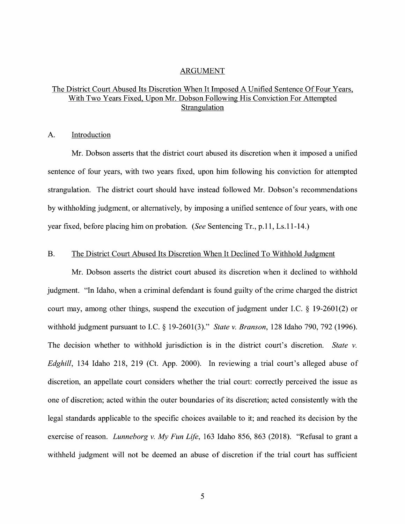### ARGUMENT

## The District Court Abused Its Discretion When It Imposed A Unified Sentence Of Four Years, With Two Years Fixed, Upon Mr. Dobson Following His Conviction For Attempted Strangulation

### A. Introduction

Mr. Dobson asserts that the district court abused its discretion when it imposed a unified sentence of four years, with two years fixed, upon him following his conviction for attempted strangulation. The district court should have instead followed Mr. Dobson's recommendations by withholding judgment, or alternatively, by imposing a unified sentence of four years, with one year fixed, before placing him on probation. *(See* Sentencing Tr., p.11, Ls.11-14.)

#### B. The District Court Abused Its Discretion When It Declined To Withhold Judgment

Mr. Dobson asserts the district court abused its discretion when it declined to withhold judgment. "In Idaho, when a criminal defendant is found guilty of the crime charged the district court may, among other things, suspend the execution of judgment under LC. § 19-2601(2) or withhold judgment pursuant to LC. § 19-2601(3)." *State v. Branson,* 128 Idaho 790, 792 (1996). The decision whether to withhold jurisdiction is in the district court's discretion. *State v. Edghill,* 134 Idaho 218, 219 (Ct. App. 2000). In reviewing a trial court's alleged abuse of discretion, an appellate court considers whether the trial court: correctly perceived the issue as one of discretion; acted within the outer boundaries of its discretion; acted consistently with the legal standards applicable to the specific choices available to it; and reached its decision by the exercise of reason. *Lunneborg v. My Fun Life,* 163 Idaho 856, 863 (2018). "Refusal to grant a withheld judgment will not be deemed an abuse of discretion if the trial court has sufficient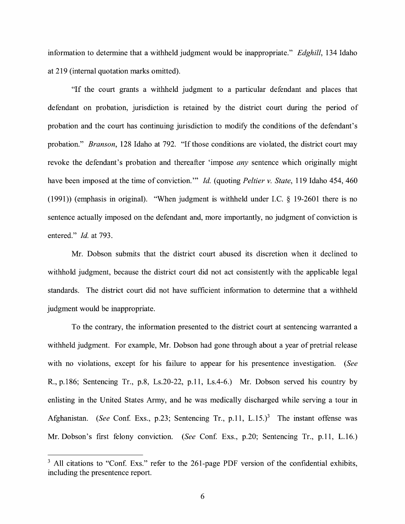information to determine that a withheld judgment would be inappropriate." *Edghill,* 134 Idaho at 219 (internal quotation marks omitted).

"If the court grants a withheld judgment to a particular defendant and places that defendant on probation, jurisdiction is retained by the district court during the period of probation and the court has continuing jurisdiction to modify the conditions of the defendant's probation." *Branson,* 128 Idaho at 792. "If those conditions are violated, the district court may revoke the defendant's probation and thereafter 'impose *any* sentence which originally might have been imposed at the time of conviction."' *Id.* (quoting *Peltier v. State,* 119 Idaho 454, 460 (1991)) (emphasis in original). "When judgment is withheld under LC. § 19-2601 there is no sentence actually imposed on the defendant and, more importantly, no judgment of conviction is entered." *Id.* at 793.

Mr. Dobson submits that the district court abused its discretion when it declined to withhold judgment, because the district court did not act consistently with the applicable legal standards. The district court did not have sufficient information to determine that a withheld judgment would be inappropriate.

To the contrary, the information presented to the district court at sentencing warranted a withheld judgment. For example, Mr. Dobson had gone through about a year of pretrial release with no violations, except for his failure to appear for his presentence investigation. *(See*  R., p.186; Sentencing Tr., p.8, Ls.20-22, p.11, Ls.4-6.) Mr. Dobson served his country by enlisting in the United States Army, and he was medically discharged while serving a tour in Afghanistan. *(See Conf. Exs., p.23; Sentencing Tr., p.11, L.15.)*<sup>3</sup> The instant offense was Mr. Dobson's first felony conviction. *(See* Conf. Exs., p.20; Sentencing Tr., p.11, L.16.)

 $3$  All citations to "Conf. Exs." refer to the 261-page PDF version of the confidential exhibits, including the presentence report.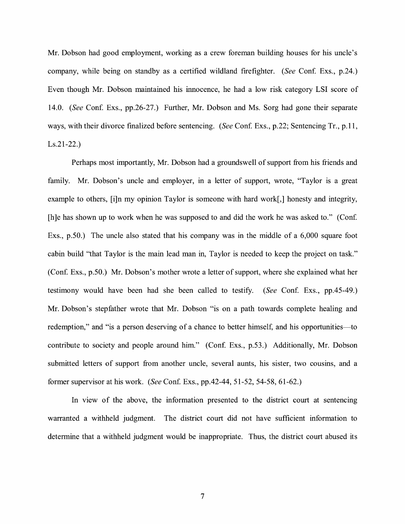Mr. Dobson had good employment, working as a crew foreman building houses for his uncle's company, while being on standby as a certified wildland firefighter. *(See Conf. Exs., p.24.)* Even though Mr. Dobson maintained his innocence, he had a low risk category LSI score of 14.0. *(See* Conf. Exs., pp.26-27.) Further, Mr. Dobson and Ms. Sorg had gone their separate ways, with their divorce finalized before sentencing. *(See Conf. Exs., p.22; Sentencing Tr., p.11,* Ls.21-22.)

Perhaps most importantly, Mr. Dobson had a groundswell of support from his friends and family. Mr. Dobson's uncle and employer, in a letter of support, wrote, "Taylor is a great example to others, [i]n my opinion Taylor is someone with hard work[,] honesty and integrity, [h]e has shown up to work when he was supposed to and did the work he was asked to." (Conf. Exs., p.50.) The uncle also stated that his company was in the middle of a 6,000 square foot cabin build "that Taylor is the main lead man in, Taylor is needed to keep the project on task." (Conf. Exs., p.50.) Mr. Dobson's mother wrote a letter of support, where she explained what her testimony would have been had she been called to testify. *(See* Con£ Exs., pp.45-49.) Mr. Dobson's stepfather wrote that Mr. Dobson "is on a path towards complete healing and redemption," and "is a person deserving of a chance to better himself, and his opportunities—to contribute to society and people around him." (Conf. Exs., p.53.) Additionally, Mr. Dobson submitted letters of support from another uncle, several aunts, his sister, two cousins, and a former supervisor at his work. *(See* Conf. Exs., pp.42-44, 51-52, 54-58, 61-62.)

In view of the above, the information presented to the district court at sentencing warranted a withheld judgment. The district court did not have sufficient information to determine that a withheld judgment would be inappropriate. Thus, the district court abused its

7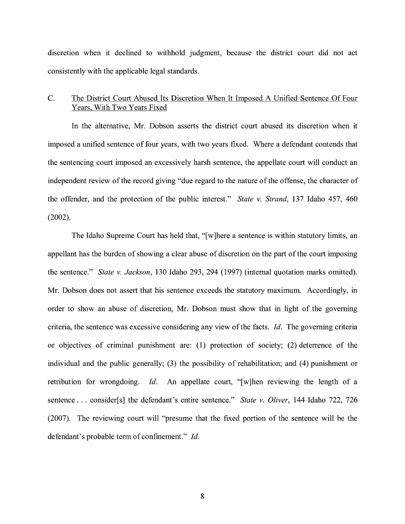discretion when it declined to withhold judgment, because the district court did not act consistently with the applicable legal standards.

## C. The District Court Abused Its Discretion When It Imposed A Unified Sentence Of Four Years, With Two Years Fixed

In the alternative, Mr. Dobson asserts the district court abused its discretion when it imposed a unified sentence of four years, with two years fixed. Where a defendant contends that the sentencing court imposed an excessively harsh sentence, the appellate court will conduct an independent review of the record giving "due regard to the nature of the offense, the character of the offender, and the protection of the public interest." *State v. Strand,* 137 Idaho 457, 460 (2002).

The Idaho Supreme Court has held that, "[ w ]here a sentence is within statutory limits, an appellant has the burden of showing a clear abuse of discretion on the part of the court imposing the sentence." *State v. Jackson,* 130 Idaho 293, 294 (1997) (internal quotation marks omitted). Mr. Dobson does not assert that his sentence exceeds the statutory maximum. Accordingly, in order to show an abuse of discretion, Mr. Dobson must show that in light of the governing criteria, the sentence was excessive considering any view of the facts. *Id.* The governing criteria or objectives of criminal punishment are: (1) protection of society; (2) deterrence of the individual and the public generally; (3) the possibility of rehabilitation; and  $(4)$  punishment or retribution for wrongdoing. Id. An appellate court, "[w]hen reviewing the length of a sentence ... consider[s] the defendant's entire sentence." *State v. Oliver,* 144 Idaho 722, 726 (2007). The reviewing court will "presume that the fixed portion of the sentence will be the defendant's probable term of confinement." *Id.*